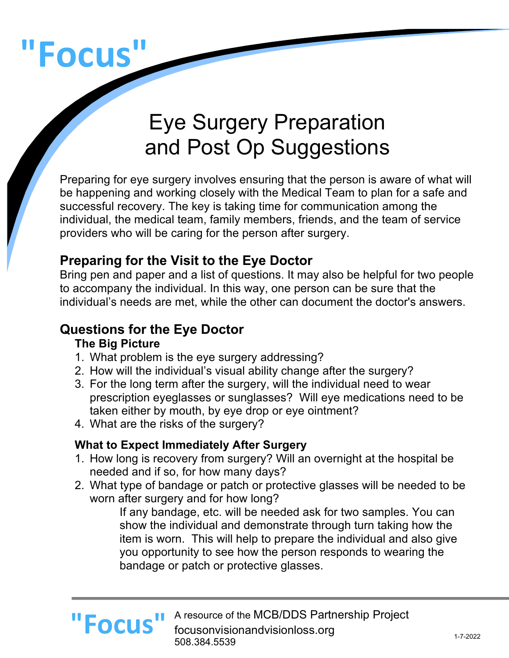# **"Focus"**

# Eye Surgery Preparation and Post Op Suggestions

Preparing for eye surgery involves ensuring that the person is aware of what will be happening and working closely with the Medical Team to plan for a safe and successful recovery. The key is taking time for communication among the individual, the medical team, family members, friends, and the team of service providers who will be caring for the person after surgery.

### **Preparing for the Visit to the Eye Doctor**

Bring pen and paper and a list of questions. It may also be helpful for two people to accompany the individual. In this way, one person can be sure that the individual's needs are met, while the other can document the doctor's answers.

### **Questions for the Eye Doctor**

### **The Big Picture**

- 1. What problem is the eye surgery addressing?
- 2. How will the individual's visual ability change after the surgery?
- 3. For the long term after the surgery, will the individual need to wear prescription eyeglasses or sunglasses? Will eye medications need to be taken either by mouth, by eye drop or eye ointment?
- 4. What are the risks of the surgery?

### **What to Expect Immediately After Surgery**

- 1. How long is recovery from surgery? Will an overnight at the hospital be needed and if so, for how many days?
- 2. What type of bandage or patch or protective glasses will be needed to be worn after surgery and for how long?

If any bandage, etc. will be needed ask for two samples. You can show the individual and demonstrate through turn taking how the item is worn. This will help to prepare the individual and also give you opportunity to see how the person responds to wearing the bandage or patch or protective glasses.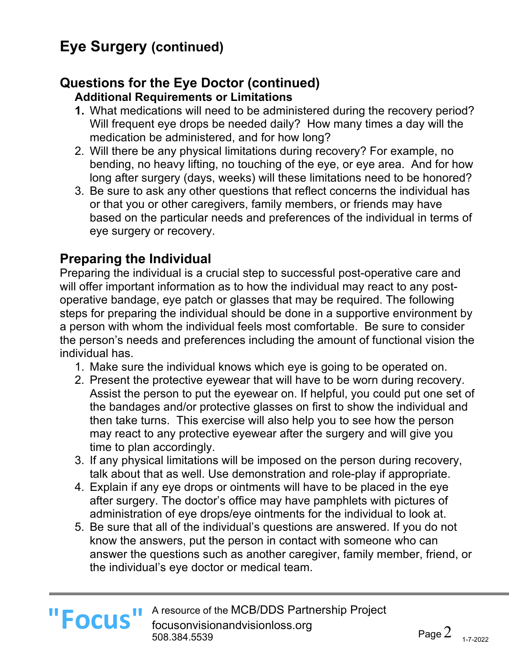# **Eye Surgery (continued)**

# **Questions for the Eye Doctor (continued)**

**Additional Requirements or Limitations**

- **1.** What medications will need to be administered during the recovery period? Will frequent eye drops be needed daily? How many times a day will the medication be administered, and for how long?
- 2. Will there be any physical limitations during recovery? For example, no bending, no heavy lifting, no touching of the eye, or eye area. And for how long after surgery (days, weeks) will these limitations need to be honored?
- 3. Be sure to ask any other questions that reflect concerns the individual has or that you or other caregivers, family members, or friends may have based on the particular needs and preferences of the individual in terms of eye surgery or recovery.

# **Preparing the Individual**

Preparing the individual is a crucial step to successful post-operative care and will offer important information as to how the individual may react to any postoperative bandage, eye patch or glasses that may be required. The following steps for preparing the individual should be done in a supportive environment by a person with whom the individual feels most comfortable. Be sure to consider the person's needs and preferences including the amount of functional vision the individual has.

- 1. Make sure the individual knows which eye is going to be operated on.
- 2. Present the protective eyewear that will have to be worn during recovery. Assist the person to put the eyewear on. If helpful, you could put one set of the bandages and/or protective glasses on first to show the individual and then take turns. This exercise will also help you to see how the person may react to any protective eyewear after the surgery and will give you time to plan accordingly.
- 3. If any physical limitations will be imposed on the person during recovery, talk about that as well. Use demonstration and role-play if appropriate.
- 4. Explain if any eye drops or ointments will have to be placed in the eye after surgery. The doctor's office may have pamphlets with pictures of administration of eye drops/eye ointments for the individual to look at.
- 5. Be sure that all of the individual's questions are answered. If you do not know the answers, put the person in contact with someone who can answer the questions such as another caregiver, family member, friend, or the individual's eye doctor or medical team.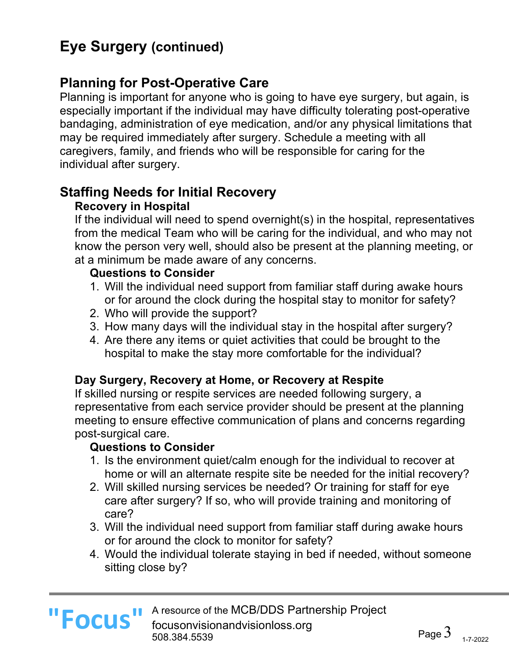# **Eye Surgery (continued)**

## **Planning for Post-Operative Care**

Planning is important for anyone who is going to have eye surgery, but again, is especially important if the individual may have difficulty tolerating post-operative bandaging, administration of eye medication, and/or any physical limitations that may be required immediately after surgery. Schedule a meeting with all caregivers, family, and friends who will be responsible for caring for the individual after surgery.

# **Staffing Needs for Initial Recovery**

### **Recovery in Hospital**

If the individual will need to spend overnight(s) in the hospital, representatives from the medical Team who will be caring for the individual, and who may not know the person very well, should also be present at the planning meeting, or at a minimum be made aware of any concerns.

### **Questions to Consider**

- 1. Will the individual need support from familiar staff during awake hours or for around the clock during the hospital stay to monitor for safety?
- 2. Who will provide the support?
- 3. How many days will the individual stay in the hospital after surgery?
- 4. Are there any items or quiet activities that could be brought to the hospital to make the stay more comfortable for the individual?

### **Day Surgery, Recovery at Home, or Recovery at Respite**

If skilled nursing or respite services are needed following surgery, a representative from each service provider should be present at the planning meeting to ensure effective communication of plans and concerns regarding post-surgical care.

### **Questions to Consider**

- 1. Is the environment quiet/calm enough for the individual to recover at home or will an alternate respite site be needed for the initial recovery?
- 2. Will skilled nursing services be needed? Or training for staff for eye care after surgery? If so, who will provide training and monitoring of care?
- 3. Will the individual need support from familiar staff during awake hours or for around the clock to monitor for safety?
- 4. Would the individual tolerate staying in bed if needed, without someone sitting close by?